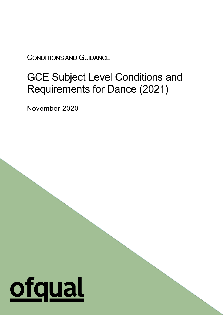CONDITIONS AND GUIDANCE

# GCE Subject Level Conditions and Requirements for Dance (2021)

1

November 2020

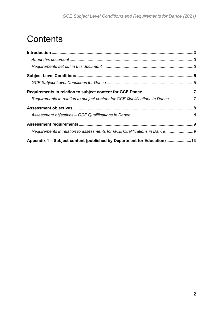# **Contents**

| Requirements in relation to subject content for GCE Qualifications in Dance 7 |  |
|-------------------------------------------------------------------------------|--|
|                                                                               |  |
|                                                                               |  |
|                                                                               |  |
| Requirements in relation to assessments for GCE Qualifications in Dance9      |  |
| Appendix 1 - Subject content (published by Department for Education) 13       |  |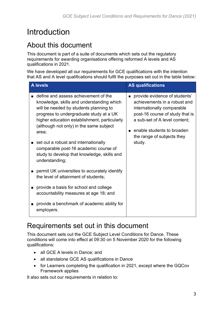# <span id="page-2-0"></span>Introduction

# <span id="page-2-1"></span>About this document

This document is part of a suite of documents which sets out the regulatory requirements for awarding organisations offering reformed A levels and AS qualifications in 2021.

We have developed all our requirements for GCE qualifications with the intention that AS and A level qualifications should fulfil the purposes set out in the table below:

| <b>A</b> levels                                                                                                                                                                                                                                                                                                    | <b>AS qualifications</b>                                                                                                                                                                                                              |
|--------------------------------------------------------------------------------------------------------------------------------------------------------------------------------------------------------------------------------------------------------------------------------------------------------------------|---------------------------------------------------------------------------------------------------------------------------------------------------------------------------------------------------------------------------------------|
| define and assess achievement of the<br>knowledge, skills and understanding which<br>will be needed by students planning to<br>progress to undergraduate study at a UK<br>higher education establishment, particularly<br>(although not only) in the same subject<br>area;<br>set out a robust and internationally | provide evidence of students'<br>achievements in a robust and<br>internationally comparable<br>post-16 course of study that is<br>a sub-set of A level content;<br>enable students to broaden<br>the range of subjects they<br>study. |
| comparable post-16 academic course of<br>study to develop that knowledge, skills and<br>understanding;                                                                                                                                                                                                             |                                                                                                                                                                                                                                       |
| permit UK universities to accurately identify<br>the level of attainment of students;                                                                                                                                                                                                                              |                                                                                                                                                                                                                                       |
| provide a basis for school and college<br>accountability measures at age 18; and                                                                                                                                                                                                                                   |                                                                                                                                                                                                                                       |
| provide a benchmark of academic ability for<br>employers.                                                                                                                                                                                                                                                          |                                                                                                                                                                                                                                       |

# <span id="page-2-2"></span>Requirements set out in this document

This document sets out the GCE Subject Level Conditions for Dance. These conditions will come into effect at 09:30 on 5 November 2020 for the following qualifications:

- all GCE A levels in Dance; and
- all standalone GCE AS qualifications in Dance
- for Learners completing the qualification in 2021, except where the GQCov Framework applies

It also sets out our requirements in relation to: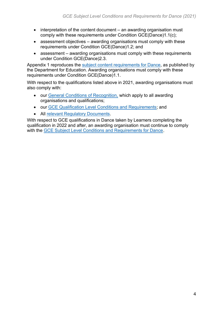- interpretation of the content document an awarding organisation must comply with these requirements under Condition GCE(Dance)1.1(c);
- assessment objectives awarding organisations must comply with these requirements under Condition GCE(Dance)1.2; and
- assessment awarding organisations must comply with these requirements under Condition GCE(Dance)2.3.

Appendix 1 reproduces the [subject content requirements for Dance,](https://www.gov.uk/government/publications/gce-as-and-a-level-dance) as published by the Department for Education. Awarding organisations must comply with these requirements under Condition GCE(Dance)1.1.

With respect to the qualifications listed above in 2021, awarding organisations must also comply with:

- our [General Conditions of Recognition,](https://www.ofqual.gov.uk/documents/general-conditions-of-recognition) which apply to all awarding organisations and qualifications;
- our [GCE Qualification Level Conditions and Requirements;](https://www.ofqual.gov.uk/documents/gce-qualification-level-conditions) and
- All [relevant Regulatory Documents.](https://www.ofqual.gov.uk/documents/list-of-additional-regulatory-documents)

With respect to GCE qualifications in Dance taken by Learners completing the qualification in 2022 and after, an awarding organisation must continue to comply with the [GCE Subject Level Conditions and Requirements for Dance.](https://www.gov.uk/government/publications/gce-subject-level-conditions-and-requirements-for-dance)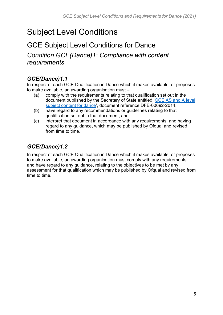# <span id="page-4-0"></span>Subject Level Conditions

# <span id="page-4-1"></span>GCE Subject Level Conditions for Dance

*Condition GCE(Dance)1: Compliance with content requirements*

### *GCE(Dance)1.1*

In respect of each GCE Qualification in Dance which it makes available, or proposes to make available, an awarding organisation must –

- (a) comply with the requirements relating to that qualification set out in the document published by the Secretary of State entitled ['GCE AS and A level](https://www.gov.uk/government/publications/gce-as-and-a-level-dance)  [subject content for dance'](https://www.gov.uk/government/publications/gce-as-and-a-level-dance), document reference DFE-00692-2014,
- (b) have regard to any recommendations or guidelines relating to that qualification set out in that document, and
- (c) interpret that document in accordance with any requirements, and having regard to any guidance, which may be published by Ofqual and revised from time to time.

### *GCE(Dance)1.2*

In respect of each GCE Qualification in Dance which it makes available, or proposes to make available, an awarding organisation must comply with any requirements, and have regard to any guidance, relating to the objectives to be met by any assessment for that qualification which may be published by Ofqual and revised from time to time.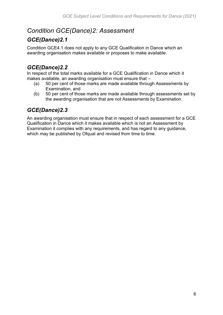## *Condition GCE(Dance)2: Assessment*

## *GCE(Dance)2.1*

Condition GCE4.1 does not apply to any GCE Qualification in Dance which an awarding organisation makes available or proposes to make available.

## *GCE(Dance)2.2*

In respect of the total marks available for a GCE Qualification in Dance which it makes available, an awarding organisation must ensure that –

- (a) 50 per cent of those marks are made available through Assessments by Examination, and
- (b) 50 per cent of those marks are made available through assessments set by the awarding organisation that are not Assessments by Examination.

## *GCE(Dance)2.3*

An awarding organisation must ensure that in respect of each assessment for a GCE Qualification in Dance which it makes available which is not an Assessment by Examination it complies with any requirements, and has regard to any guidance, which may be published by Ofqual and revised from time to time.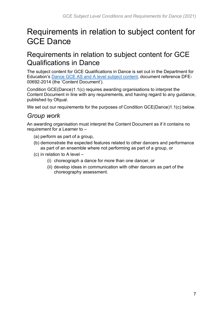# <span id="page-6-0"></span>Requirements in relation to subject content for GCE Dance

# <span id="page-6-1"></span>Requirements in relation to subject content for GCE Qualifications in Dance

The subject content for GCE Qualifications in Dance is set out in the Department for Education's [Dance GCE AS and A level subject content,](https://www.gov.uk/government/publications/gce-as-and-a-level-dance) document reference DFE-00692-2014 (the 'Content Document').

Condition GCE(Dance)1.1(c) requires awarding organisations to interpret the Content Document in line with any requirements, and having regard to any guidance, published by Ofqual.

We set out our requirements for the purposes of Condition GCE(Dance)1.1(c) below.

### *Group work*

An awarding organisation must interpret the Content Document as if it contains no requirement for a Learner to –

- (a) perform as part of a group,
- (b) demonstrate the expected features related to other dancers and performance as part of an ensemble where not performing as part of a group, or
- (c) in relation to A level
	- (i) choreograph a dance for more than one dancer, or
	- (ii) develop ideas in communication with other dancers as part of the choreography assessment.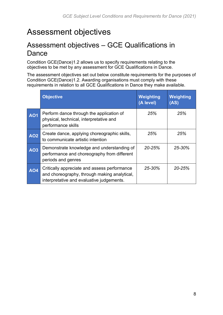# <span id="page-7-0"></span>Assessment objectives

# <span id="page-7-1"></span>Assessment objectives – GCE Qualifications in Dance

Condition GCE(Dance)1.2 allows us to specify requirements relating to the objectives to be met by any assessment for GCE Qualifications in Dance.

The assessment objectives set out below constitute requirements for the purposes of Condition GCE(Dance)1.2. Awarding organisations must comply with these requirements in relation to all GCE Qualifications in Dance they make available.

|            | <b>Objective</b>                                                                                                                          | <b>Weighting</b><br>(A level) | Weighting<br>(AS) |
|------------|-------------------------------------------------------------------------------------------------------------------------------------------|-------------------------------|-------------------|
| <b>AO1</b> | Perform dance through the application of<br>physical, technical, interpretative and<br>performance skills                                 | 25%                           | 25%               |
| <b>AO2</b> | Create dance, applying choreographic skills,<br>to communicate artistic intention                                                         | 25%                           | 25%               |
| <b>AO3</b> | Demonstrate knowledge and understanding of<br>performance and choreography from different<br>periods and genres                           | $20 - 25%$                    | 25-30%            |
| <b>AO4</b> | Critically appreciate and assess performance<br>and choreography, through making analytical,<br>interpretative and evaluative judgements. | $25 - 30%$                    | $20 - 25%$        |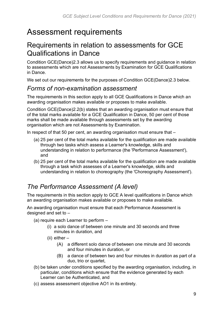# <span id="page-8-0"></span>Assessment requirements

# <span id="page-8-1"></span>Requirements in relation to assessments for GCE Qualifications in Dance

Condition GCE(Dance)2.3 allows us to specify requirements and guidance in relation to assessments which are not Assessments by Examination for GCE Qualifications in Dance.

We set out our requirements for the purposes of Condition GCE(Dance)2.3 below.

## *Forms of non-examination assessment*

The requirements in this section apply to all GCE Qualifications in Dance which an awarding organisation makes available or proposes to make available.

Condition GCE(Dance)2.2(b) states that an awarding organisation must ensure that of the total marks available for a GCE Qualification in Dance, 50 per cent of those marks shall be made available through assessments set by the awarding organisation which are not Assessments by Examination.

In respect of that 50 per cent, an awarding organisation must ensure that –

- (a) 25 per cent of the total marks available for the qualification are made available through two tasks which assess a Learner's knowledge, skills and understanding in relation to performance (the 'Performance Assessment'), and
- (b) 25 per cent of the total marks available for the qualification are made available through a task which assesses of a Learner's knowledge, skills and understanding in relation to choreography (the 'Choreography Assessment').

# *The Performance Assessment (A level)*

The requirements in this section apply to GCE A level qualifications in Dance which an awarding organisation makes available or proposes to make available.

An awarding organisation must ensure that each Performance Assessment is designed and set to –

- (a) require each Learner to perform
	- (i) a solo dance of between one minute and 30 seconds and three minutes in duration, and
	- (ii) either
		- (A) a different solo dance of between one minute and 30 seconds and four minutes in duration, or
		- (B) a dance of between two and four minutes in duration as part of a duo, trio or quartet,
- (b) be taken under conditions specified by the awarding organisation, including, in particular, conditions which ensure that the evidence generated by each Learner can be Authenticated, and
- (c) assess assessment objective AO1 in its entirety.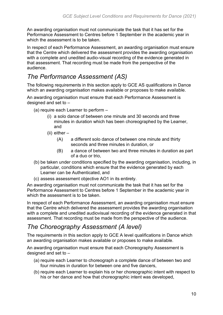An awarding organisation must not communicate the task that it has set for the Performance Assessment to Centres before 1 September in the academic year in which the assessment is to be taken.

In respect of each Performance Assessment, an awarding organisation must ensure that the Centre which delivered the assessment provides the awarding organisation with a complete and unedited audio-visual recording of the evidence generated in that assessment. That recording must be made from the perspective of the audience.

## *The Performance Assessment (AS)*

The following requirements in this section apply to GCE AS qualifications in Dance which an awarding organisation makes available or proposes to make available.

An awarding organisation must ensure that each Performance Assessment is designed and set to –

- (a) require each Learner to perform
	- (i) a solo dance of between one minute and 30 seconds and three minutes in duration which has been choreographed by the Learner, and
	- (ii) either
		- (A) a different solo dance of between one minute and thirty seconds and three minutes in duration, or
		- (B) a dance of between two and three minutes in duration as part of a duo or trio,
- (b) be taken under conditions specified by the awarding organisation, including, in particular, conditions which ensure that the evidence generated by each Learner can be Authenticated, and
- (c) assess assessment objective AO1 in its entirety.

An awarding organisation must not communicate the task that it has set for the Performance Assessment to Centres before 1 September in the academic year in which the assessment is to be taken.

In respect of each Performance Assessment, an awarding organisation must ensure that the Centre which delivered the assessment provides the awarding organisation with a complete and unedited audiovisual recording of the evidence generated in that assessment. That recording must be made from the perspective of the audience.

## *The Choreography Assessment (A level)*

The requirements in this section apply to GCE A level qualifications in Dance which an awarding organisation makes available or proposes to make available.

An awarding organisation must ensure that each Choreography Assessment is designed and set to –

- (a) require each Learner to choreograph a complete dance of between two and four minutes in duration for between one and five dancers,
- (b) require each Learner to explain his or her choreographic intent with respect to his or her dance and how that choreographic intent was developed,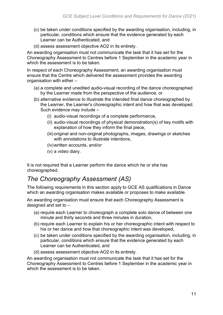- (c) be taken under conditions specified by the awarding organisation, including, in particular, conditions which ensure that the evidence generated by each Learner can be Authenticated, and
- (d) assess assessment objective AO2 in its entirety.

An awarding organisation must not communicate the task that it has set for the Choreography Assessment to Centres before 1 September in the academic year in which the assessment is to be taken.

In respect of each Choreography Assessment, an awarding organisation must ensure that the Centre which delivered the assessment provides the awarding organisation with either –

- (a) a complete and unedited audio-visual recording of the dance choreographed by the Learner made from the perspective of the audience, or
- (b) alternative evidence to illustrate the intended final dance choreographed by the Learner, the Learner's choreographic intent and how that was developed. Such evidence may include –
	- (i) audio-visual recordings of a complete performance,
	- (ii) audio-visual recordings of physical demonstration(s) of key motifs with explanation of how they inform the final piece,
	- (iii) original and non-original photographs, images, drawings or sketches with annotations to illustrate intentions,
	- (iv)written accounts, and/or
	- (v) a video diary.

It is not required that a Learner perform the dance which he or she has choreographed.

## *The Choreography Assessment (AS)*

The following requirements in this section apply to GCE AS qualifications in Dance which an awarding organisation makes available or proposes to make available.

An awarding organisation must ensure that each Choreography Assessment is designed and set to –

- (a) require each Learner to choreograph a complete solo dance of between one minute and thirty seconds and three minutes in duration,
- (b) require each Learner to explain his or her choreographic intent with respect to his or her dance and how that choreographic intent was developed,
- (c) be taken under conditions specified by the awarding organisation, including, in particular, conditions which ensure that the evidence generated by each Learner can be Authenticated, and
- (d) assess assessment objective AO2 in its entirety.

An awarding organisation must not communicate the task that it has set for the Choreography Assessment to Centres before 1 September in the academic year in which the assessment is to be taken.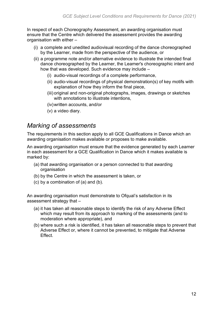In respect of each Choreography Assessment, an awarding organisation must ensure that the Centre which delivered the assessment provides the awarding organisation with either –

- (i) a complete and unedited audiovisual recording of the dance choreographed by the Learner, made from the perspective of the audience, or
- (ii) a programme note and/or alternative evidence to illustrate the intended final dance choreographed by the Learner, the Learner's choreographic intent and how that was developed. Such evidence may include –
	- (i) audio-visual recordings of a complete performance,
	- (ii) audio-visual recordings of physical demonstration(s) of key motifs with explanation of how they inform the final piece,
	- (iii) original and non-original photographs, images, drawings or sketches with annotations to illustrate intentions,
	- (iv)written accounts, and/or
	- (v) a video diary.

### *Marking of assessments*

The requirements in this section apply to all GCE Qualifications in Dance which an awarding organisation makes available or proposes to make available.

An awarding organisation must ensure that the evidence generated by each Learner in each assessment for a GCE Qualification in Dance which it makes available is marked by:

- (a) that awarding organisation or a person connected to that awarding organisation
- (b) by the Centre in which the assessment is taken, or
- (c) by a combination of (a) and (b).

An awarding organisation must demonstrate to Ofqual's satisfaction in its assessment strategy that –

- (a) it has taken all reasonable steps to identify the risk of any Adverse Effect which may result from its approach to marking of the assessments (and to moderation where appropriate), and
- (b) where such a risk is identified, it has taken all reasonable steps to prevent that Adverse Effect or, where it cannot be prevented, to mitigate that Adverse **Effect.**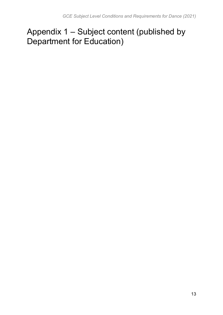# <span id="page-12-0"></span>Appendix 1 – Subject content (published by Department for Education)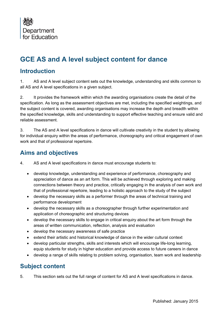

# **GCE AS and A level subject content for dance**

### **Introduction**

1. AS and A level subject content sets out the knowledge, understanding and skills common to all AS and A level specifications in a given subject.

2. It provides the framework within which the awarding organisations create the detail of the specification. As long as the assessment objectives are met, including the specified weightings, and the subject content is covered, awarding organisations may increase the depth and breadth within the specified knowledge, skills and understanding to support effective teaching and ensure valid and reliable assessment.

3. The AS and A level specifications in dance will cultivate creativity in the student by allowing for individual enquiry within the areas of performance, choreography and critical engagement of own work and that of professional repertoire.

### **Aims and objectives**

4. AS and A level specifications in dance must encourage students to:

- develop knowledge, understanding and experience of performance, choreography and appreciation of dance as an art form. This will be achieved through exploring and making connections between theory and practice, critically engaging in the analysis of own work and that of professional repertoire, leading to a holistic approach to the study of the subject
- develop the necessary skills as a performer through the areas of technical training and performance development
- develop the necessary skills as a choreographer through further experimentation and application of choreographic and structuring devices
- develop the necessary skills to engage in critical enquiry about the art form through the areas of written communication, reflection, analysis and evaluation
- develop the necessary awareness of safe practice
- extend their artistic and historical knowledge of dance in the wider cultural context
- develop particular strengths, skills and interests which will encourage life-long learning, equip students for study in higher education and provide access to future careers in dance
- develop a range of skills relating to problem solving, organisation, team work and leadership

### **Subject content**

5. This section sets out the full range of content for AS and A level specifications in dance.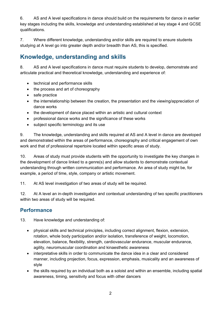6. AS and A level specifications in dance should build on the requirements for dance in earlier key stages including the skills, knowledge and understanding established at key stage 4 and GCSE qualifications.

7. Where different knowledge, understanding and/or skills are required to ensure students studying at A level go into greater depth and/or breadth than AS, this is specified.

## **Knowledge, understanding and skills**

8. AS and A level specifications in dance must require students to develop, demonstrate and articulate practical and theoretical knowledge, understanding and experience of:

- technical and performance skills
- the process and art of choreography
- safe practice
- the interrelationship between the creation, the presentation and the viewing/appreciation of dance works
- the development of dance placed within an artistic and cultural context
- professional dance works and the significance of these works
- subject specific terminology and its use

9. The knowledge, understanding and skills required at AS and A level in dance are developed and demonstrated within the areas of performance, choreography and critical engagement of own work and that of professional repertoire located within specific areas of study.

10. Areas of study must provide students with the opportunity to investigate the key changes in the development of dance linked to a genre(s) and allow students to demonstrate contextual understanding through written communication and performance. An area of study might be, for example, a period of time, style, company or artistic movement.

11. At AS level investigation of two areas of study will be required.

12. At A level an in-depth investigation and contextual understanding of two specific practitioners within two areas of study will be required.

#### **Performance**

13. Have knowledge and understanding of:

- physical skills and technical principles, including correct alignment, flexion, extension, rotation, whole body participation and/or isolation, transference of weight, locomotion, elevation, balance, flexibility, strength, cardiovascular endurance, muscular endurance, agility, neuromuscular coordination and kinaesthetic awareness
- interpretative skills in order to communicate the dance idea in a clear and considered manner, including projection, focus, expression, emphasis, musicality and an awareness of style
- the skills required by an individual both as a soloist and within an ensemble, including spatial awareness, timing, sensitivity and focus with other dancers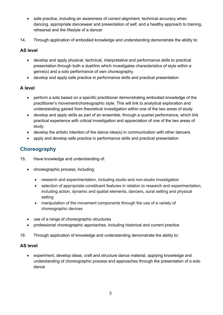- safe practice, including an awareness of correct alignment, technical accuracy when dancing, appropriate dancewear and presentation of self, and a healthy approach to training, rehearsal and the lifestyle of a dancer
- 14. Through application of embodied knowledge and understanding demonstrate the ability to:

#### **AS level**

- develop and apply physical, technical, interpretative and performance skills to practical presentation through both a duet/trio which investigates characteristics of style within a genre(s) and a solo performance of own choreography.
- develop and apply safe practice in performance skills and practical presentation

#### **A level**

- perform a solo based on a specific practitioner demonstrating embodied knowledge of the practitioner's movement/choreographic style. This will link to analytical exploration and understanding gained from theoretical investigation within one of the two areas of study
- develop and apply skills as part of an ensemble, through a quartet performance, which link practical experience with critical investigation and appreciation of one of the two areas of study
- develop the artistic intention of the dance idea(s) in communication with other dancers
- apply and develop safe practice in performance skills and practical presentation

#### **Choreography**

- 15. Have knowledge and understanding of:
	- choreographic process, including:
		- research and experimentation, including studio and non-studio investigation
		- selection of appropriate constituent features in relation to research and experimentation, including action, dynamic and spatial elements, dancers, aural setting and physical setting
		- manipulation of the movement components through the use of a variety of choreographic devices
	- use of a range of choreographic structures
	- professional choreographic approaches, including historical and current practice
- 16. Through application of knowledge and understanding demonstrate the ability to:

#### **AS level**

• experiment, develop ideas, craft and structure dance material, applying knowledge and understanding of choreographic process and approaches through the presentation of a solo dance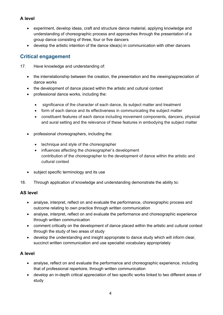#### **A level**

- experiment, develop ideas, craft and structure dance material, applying knowledge and understanding of choreographic process and approaches through the presentation of a group dance consisting of three, four or five dancers
- develop the artistic intention of the dance idea(s) in communication with other dancers

#### **Critical engagement**

- 17. Have knowledge and understanding of:
	- the interrelationship between the creation, the presentation and the viewing/appreciation of dance works
	- the development of dance placed within the artistic and cultural context
	- professional dance works, including the:
		- significance of the character of each dance, its subject matter and treatment
		- form of each dance and its effectiveness in communicating the subject matter
		- constituent features of each dance including movement components, dancers, physical and aural setting and the relevance of these features in embodying the subject matter
	- professional choreographers, including the:
		- technique and style of the choreographer
		- influences affecting the choreographer's development contribution of the choreographer to the development of dance within the artistic and cultural context
	- subject specific terminology and its use
- 18. Through application of knowledge and understanding demonstrate the ability to:

#### **AS level**

- analyse, interpret, reflect on and evaluate the performance, choreographic process and outcome relating to own practice through written communication
- analyse, interpret, reflect on and evaluate the performance and choreographic experience through written communication
- comment critically on the development of dance placed within the artistic and cultural context through the study of two areas of study
- develop the understanding and insight appropriate to dance study which will inform clear, succinct written communication and use specialist vocabulary appropriately

#### **A level**

- analyse, reflect on and evaluate the performance and choreographic experience, including that of professional repertoire, through written communication
- develop an in-depth critical appreciation of two specific works linked to two different areas of study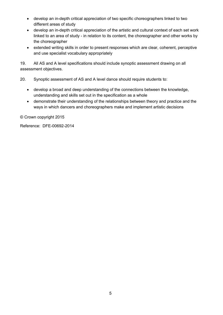- develop an in-depth critical appreciation of two specific choreographers linked to two different areas of study
- develop an in-depth critical appreciation of the artistic and cultural context of each set work linked to an area of study - in relation to its content, the choreographer and other works by the choreographer
- extended writing skills in order to present responses which are clear, coherent, perceptive and use specialist vocabulary appropriately

19. All AS and A level specifications should include synoptic assessment drawing on all assessment objectives.

20. Synoptic assessment of AS and A level dance should require students to:

- develop a broad and deep understanding of the connections between the knowledge, understanding and skills set out in the specification as a whole
- demonstrate their understanding of the relationships between theory and practice and the ways in which dancers and choreographers make and implement artistic decisions

© Crown copyright 2015

Reference: DFE-00692-2014